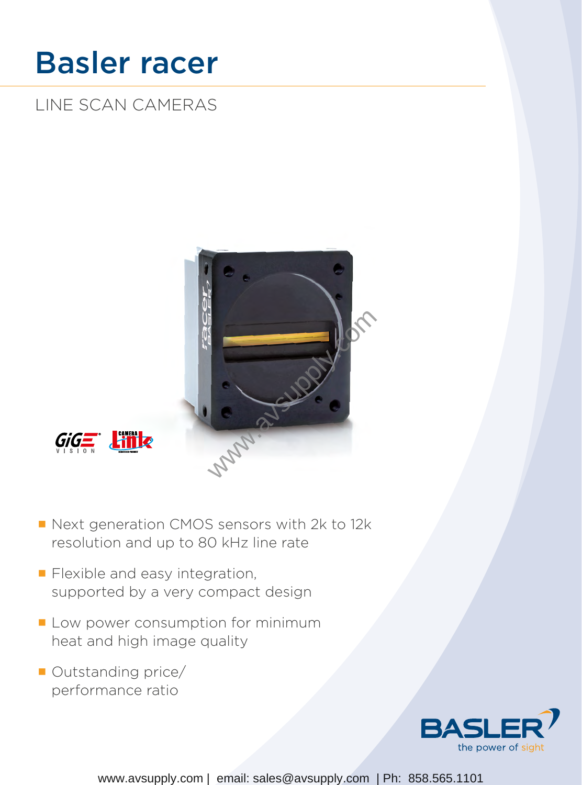# Basler racer

LINE SCAN CAMERAS



- Next generation CMOS sensors with 2k to 12k resolution and up to 80 kHz line rate
- **Flexible and easy integration,** supported by a very compact design
- Low power consumption for minimum heat and high image quality
- Outstanding price/ performance ratio

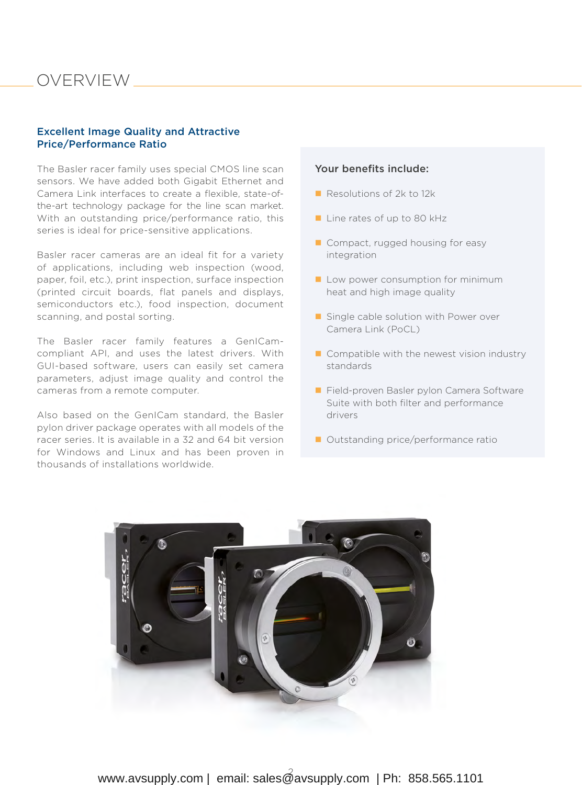### OVERVIEW

#### Excellent Image Quality and Attractive Price/Performance Ratio

The Basler racer family uses special CMOS line scan sensors. We have added both Gigabit Ethernet and Camera Link interfaces to create a flexible, state-ofthe-art technology package for the line scan market. With an outstanding price/performance ratio, this series is ideal for price-sensitive applications.

Basler racer cameras are an ideal fit for a variety of applications, including web inspection (wood, paper, foil, etc.), print inspection, surface inspection (printed circuit boards, flat panels and displays, semiconductors etc.), food inspection, document scanning, and postal sorting.

The Basler racer family features a GenICamcompliant API, and uses the latest drivers. With GUI-based software, users can easily set camera parameters, adjust image quality and control the cameras from a remote computer.

Also based on the GenICam standard, the Basler pylon driver package operates with all models of the racer series. It is available in a 32 and 64 bit version for Windows and Linux and has been proven in thousands of installations worldwide.

#### Your benefits include:

- Resolutions of 2k to 12k
- Line rates of up to 80 kHz
- Compact, rugged housing for easy integration
- $\blacksquare$  Low power consumption for minimum heat and high image quality
- Single cable solution with Power over Camera Link (PoCL)
- $\blacksquare$  Compatible with the newest vision industry standards
- Field-proven Basler pylon Camera Software Suite with both filter and performance drivers
- Outstanding price/performance ratio

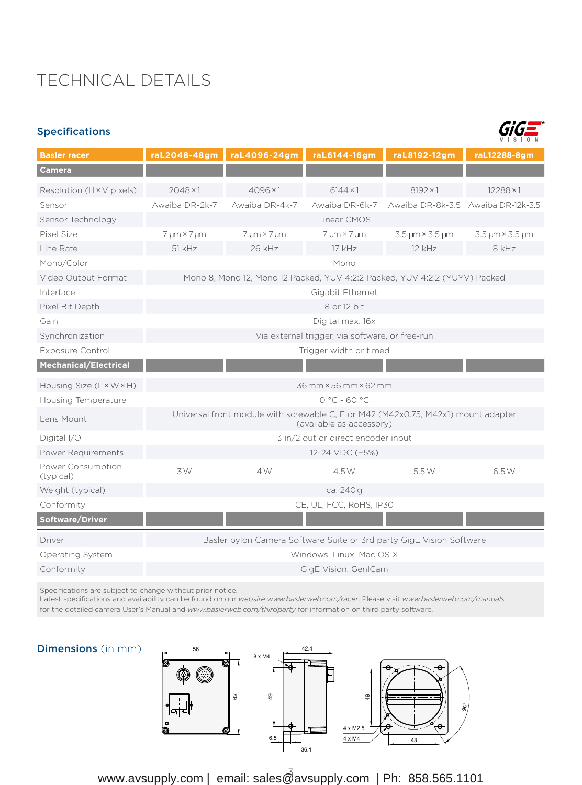### TECHNICAL DETAILS

| <b>Specifications</b> |
|-----------------------|
|-----------------------|



| <b>Basler racer</b>            |                                                                                                               | raL2048-48gm raL4096-24gm | raL6144-16gm             | raL8192-12gm                 | raL12288-8qm                       |  |  |  |  |
|--------------------------------|---------------------------------------------------------------------------------------------------------------|---------------------------|--------------------------|------------------------------|------------------------------------|--|--|--|--|
| <b>Camera</b>                  |                                                                                                               |                           |                          |                              |                                    |  |  |  |  |
| Resolution (H × V pixels)      | $2048 \times 1$                                                                                               | $4096 \times 1$           | $6144 \times 1$          | $8192 \times 1$              | $12288 \times 1$                   |  |  |  |  |
| Sensor                         | Awaiba DR-2k-7                                                                                                | Awaiba DR-4k-7            | Awaiba DR-6k-7           |                              | Awaiba DR-8k-3.5 Awaiba DR-12k-3.5 |  |  |  |  |
| Sensor Technology              | Linear CMOS                                                                                                   |                           |                          |                              |                                    |  |  |  |  |
| Pixel Size                     | $7 \mu m \times 7 \mu m$                                                                                      | $7 \mu m \times 7 \mu m$  | $7 \mu m \times 7 \mu m$ | $3.5 \mu m \times 3.5 \mu m$ | $3.5 \mu m \times 3.5 \mu m$       |  |  |  |  |
| Line Rate                      | 51 kHz                                                                                                        | 26 kHz                    | 17 kHz                   | 12 kHz                       | 8 kHz                              |  |  |  |  |
| Mono/Color                     | Mono                                                                                                          |                           |                          |                              |                                    |  |  |  |  |
| Video Output Format            | Mono 8, Mono 12, Mono 12 Packed, YUV 4:2:2 Packed, YUV 4:2:2 (YUYV) Packed                                    |                           |                          |                              |                                    |  |  |  |  |
| Interface                      | Gigabit Ethernet                                                                                              |                           |                          |                              |                                    |  |  |  |  |
| Pixel Bit Depth                | 8 or 12 bit                                                                                                   |                           |                          |                              |                                    |  |  |  |  |
| Gain                           | Digital max. 16x                                                                                              |                           |                          |                              |                                    |  |  |  |  |
| Synchronization                | Via external trigger, via software, or free-run                                                               |                           |                          |                              |                                    |  |  |  |  |
| <b>Exposure Control</b>        | Trigger width or timed                                                                                        |                           |                          |                              |                                    |  |  |  |  |
| Mechanical/Electrical          |                                                                                                               |                           |                          |                              |                                    |  |  |  |  |
| Housing Size (L × W × H)       | 36 mm × 56 mm × 62 mm                                                                                         |                           |                          |                              |                                    |  |  |  |  |
| Housing Temperature            | $0 °C - 60 °C$                                                                                                |                           |                          |                              |                                    |  |  |  |  |
| Lens Mount                     | Universal front module with screwable C, F or M42 (M42x0.75, M42x1) mount adapter<br>(available as accessory) |                           |                          |                              |                                    |  |  |  |  |
| Digital I/O                    | 3 in/2 out or direct encoder input                                                                            |                           |                          |                              |                                    |  |  |  |  |
| Power Requirements             | 12-24 VDC (±5%)                                                                                               |                           |                          |                              |                                    |  |  |  |  |
| Power Consumption<br>(typical) | 3W                                                                                                            | 4 W                       | 4.5 W                    | 5.5W                         | 6.5W                               |  |  |  |  |
| Weight (typical)               | ca. 240 g                                                                                                     |                           |                          |                              |                                    |  |  |  |  |
| Conformity                     | CE, UL, FCC, RoHS, IP30                                                                                       |                           |                          |                              |                                    |  |  |  |  |
| Software/Driver                |                                                                                                               |                           |                          |                              |                                    |  |  |  |  |
| Driver                         | Basler pylon Camera Software Suite or 3rd party GigE Vision Software                                          |                           |                          |                              |                                    |  |  |  |  |
| Operating System               | Windows, Linux, Mac OS X                                                                                      |                           |                          |                              |                                    |  |  |  |  |
| Conformity                     | GigE Vision, GenICam                                                                                          |                           |                          |                              |                                    |  |  |  |  |

Specifications are subject to change without prior notice.

Latest specifications and availability can be found on our *website [www.baslerweb.com/racer](http://www.baslerweb.com/racer)*. Please visit *[www.baslerweb.com/manuals](http://www.baslerweb.com/manuals)* for the detailed camera User's Manual and *[www.baslerweb.com/thirdparty](http://www.baslerweb.com/thirdparty)* for information on third party software.

#### Dimensions (in mm)



www.avsupply.com | email: sales@avsupply.com | Ph: 858.565.1101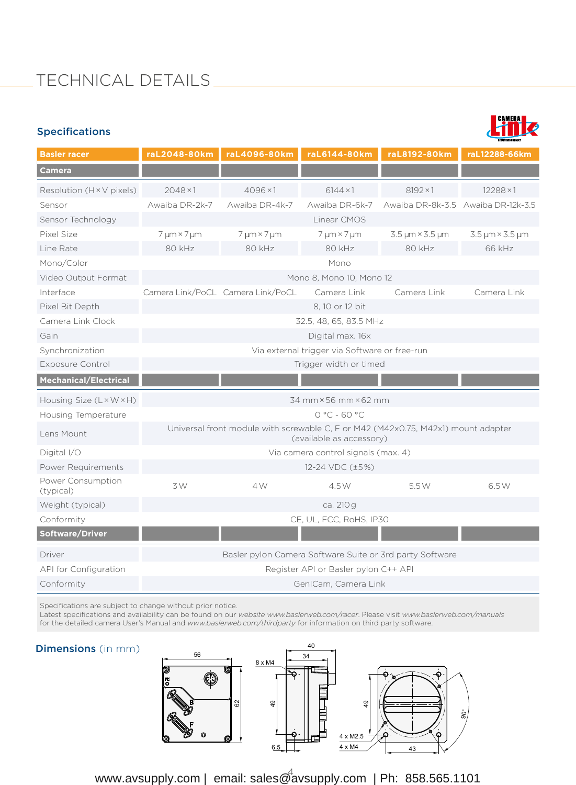## TECHNICAL DETAILS

#### Specifications



| <b>Basler racer</b>                  | raL2048-80km                                                                                                  | raL4096-80km                      | raL6144-80km             | raL8192-80km                 | raL12288-66km                      |  |  |  |  |
|--------------------------------------|---------------------------------------------------------------------------------------------------------------|-----------------------------------|--------------------------|------------------------------|------------------------------------|--|--|--|--|
| Camera                               |                                                                                                               |                                   |                          |                              |                                    |  |  |  |  |
| Resolution (H × V pixels)            | $2048 \times 1$                                                                                               | $4096 \times 1$                   | $6144 \times 1$          | $8192 \times 1$              | $12288 \times 1$                   |  |  |  |  |
| Sensor                               | Awaiba DR-2k-7                                                                                                | Awaiba DR-4k-7                    | Awaiba DR-6k-7           |                              | Awaiba DR-8k-3.5 Awaiba DR-12k-3.5 |  |  |  |  |
| Sensor Technology                    | Linear CMOS                                                                                                   |                                   |                          |                              |                                    |  |  |  |  |
| Pixel Size                           | 7 µm × 7 µm                                                                                                   | $7 \mu m \times 7 \mu m$          | $7 \mu m \times 7 \mu m$ | $3.5 \mu m \times 3.5 \mu m$ | $3.5 \mu m \times 3.5 \mu m$       |  |  |  |  |
| Line Rate                            | 80 kHz                                                                                                        | 80 kHz                            | 80 kHz                   | 80 kHz                       | 66 kHz                             |  |  |  |  |
| Mono/Color                           | Mono                                                                                                          |                                   |                          |                              |                                    |  |  |  |  |
| Video Output Format                  | Mono 8, Mono 10, Mono 12                                                                                      |                                   |                          |                              |                                    |  |  |  |  |
| Interface                            |                                                                                                               | Camera Link/PoCL Camera Link/PoCL | Camera Link              | Camera Link                  | Camera Link                        |  |  |  |  |
| Pixel Bit Depth                      | 8, 10 or 12 bit                                                                                               |                                   |                          |                              |                                    |  |  |  |  |
| Camera Link Clock                    | 32.5, 48, 65, 83.5 MHz                                                                                        |                                   |                          |                              |                                    |  |  |  |  |
| Gain                                 | Digital max. 16x                                                                                              |                                   |                          |                              |                                    |  |  |  |  |
| Synchronization                      | Via external trigger via Software or free-run                                                                 |                                   |                          |                              |                                    |  |  |  |  |
| <b>Exposure Control</b>              | Trigger width or timed                                                                                        |                                   |                          |                              |                                    |  |  |  |  |
| <b>Mechanical/Electrical</b>         |                                                                                                               |                                   |                          |                              |                                    |  |  |  |  |
| Housing Size $(L \times W \times H)$ | 34 mm × 56 mm × 62 mm                                                                                         |                                   |                          |                              |                                    |  |  |  |  |
| Housing Temperature                  | $0 °C - 60 °C$                                                                                                |                                   |                          |                              |                                    |  |  |  |  |
| Lens Mount                           | Universal front module with screwable C, F or M42 (M42x0.75, M42x1) mount adapter<br>(available as accessory) |                                   |                          |                              |                                    |  |  |  |  |
| Digital I/O                          | Via camera control signals (max. 4)                                                                           |                                   |                          |                              |                                    |  |  |  |  |
| Power Requirements                   | 12-24 VDC (±5%)                                                                                               |                                   |                          |                              |                                    |  |  |  |  |
| Power Consumption<br>(typical)       | 3W                                                                                                            | 4 W                               | 4.5 W                    | 5.5W                         | 6.5W                               |  |  |  |  |
| Weight (typical)                     | ca. 210 g                                                                                                     |                                   |                          |                              |                                    |  |  |  |  |
| Conformity                           | CE, UL, FCC, RoHS, IP30                                                                                       |                                   |                          |                              |                                    |  |  |  |  |
| Software/Driver                      |                                                                                                               |                                   |                          |                              |                                    |  |  |  |  |
| Driver                               | Basler pylon Camera Software Suite or 3rd party Software                                                      |                                   |                          |                              |                                    |  |  |  |  |
| API for Configuration                | Register API or Basler pylon C++ API                                                                          |                                   |                          |                              |                                    |  |  |  |  |
| Conformity                           | GenICam, Camera Link                                                                                          |                                   |                          |                              |                                    |  |  |  |  |

Specifications are subject to change without prior notice.

Latest specifications and availability can be found on our *website [www.baslerweb.com/racer](http://www.baslerweb.com/racer)*. Please visit *[www.baslerweb.com/manuals](http://www.baslerweb.com/manuals)* for the detailed camera User's Manual and *[www.baslerweb.com/thirdparty](http://www.baslerweb.com/thirdparty)* for information on third party software.

#### Dimensions (in mm)



www.avsupply.com | email: sales@avsupply.com | Ph: 858.565.1101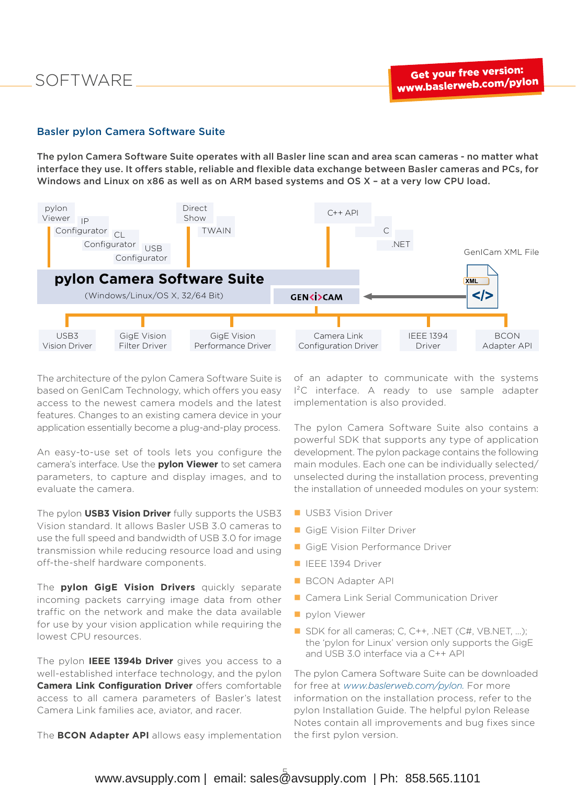#### Basler pylon Camera Software Suite

The pylon Camera Software Suite operates with all Basler line scan and area scan cameras - no matter what interface they use. It offers stable, reliable and flexible data exchange between Basler cameras and PCs, for Windows and Linux on x86 as well as on ARM based systems and OS X – at a very low CPU load.



The architecture of the pylon Camera Software Suite is based on GenICam Technology, which offers you easy access to the newest camera models and the latest features. Changes to an existing camera device in your application essentially become a plug-and-play process.

An easy-to-use set of tools lets you configure the camera's interface. Use the **pylon Viewer** to set camera parameters, to capture and display images, and to evaluate the camera.

The pylon **USB3 Vision Driver** fully supports the USB3 Vision standard. It allows Basler USB 3.0 cameras to use the full speed and bandwidth of USB 3.0 for image transmission while reducing resource load and using off-the-shelf hardware components.

The **pylon GigE Vision Drivers** quickly separate incoming packets carrying image data from other traffic on the network and make the data available for use by your vision application while requiring the lowest CPU resources.

The pylon **IEEE 1394b Driver** gives you access to a well-established interface technology, and the pylon **Camera Link Configuration Driver** offers comfortable access to all camera parameters of Basler's latest Camera Link families ace, aviator, and racer.

The **BCON Adapter API** allows easy implementation

of an adapter to communicate with the systems I²C interface. A ready to use sample adapter implementation is also provided.

The pylon Camera Software Suite also contains a powerful SDK that supports any type of application development. The pylon package contains the following main modules. Each one can be individually selected/ unselected during the installation process, preventing the installation of unneeded modules on your system:

- **USB3 Vision Driver**
- GigE Vision Filter Driver
- GigE Vision Performance Driver
- **IEEE 1394 Driver**
- **BCON Adapter API**
- **Camera Link Serial Communication Driver**
- **pylon Viewer**
- SDK for all cameras; C, C++, .NET (C#, [VB.NET,](http://VB.NET) ...); the 'pylon for Linux' version only supports the GigE and USB 3.0 interface via a C++ API

The pylon Camera Software Suite can be downloaded for free at *[www.baslerweb.com/pylon.](http://www.baslerweb.com/pylon)* For more information on the installation process, refer to the pylon Installation Guide. The helpful pylon Release Notes contain all improvements and bug fixes since the first pylon version.